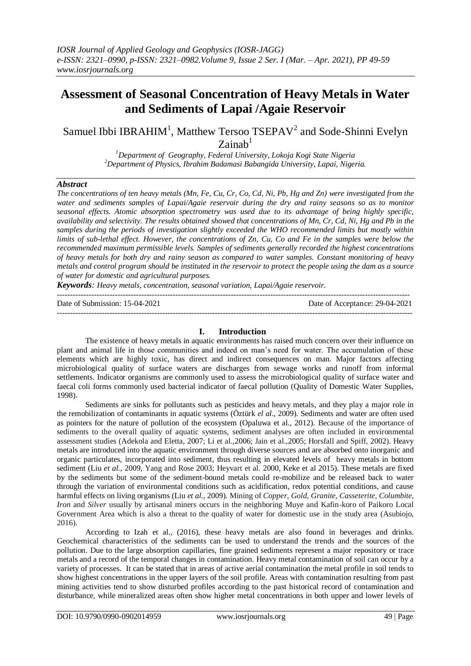# **Assessment of Seasonal Concentration of Heavy Metals in Water and Sediments of Lapai /Agaie Reservoir**

# Samuel Ibbi IBRAHIM<sup>1</sup>, Matthew Tersoo TSEPAV<sup>2</sup> and Sode-Shinni Evelyn  $Z$ ainab<sup>1</sup>

*<sup>1</sup>Department of Geography, Federal University, Lokoja Kogi State Nigeria <sup>2</sup>Department of Physics, Ibrahim Badamasi Babangida University, Lapai, Nigeria.*

# *Abstract*

*The concentrations of ten heavy metals (Mn, Fe, Cu, Cr, Co, Cd, Ni, Pb, Hg and Zn) were investigated from the water and sediments samples of Lapai/Agaie reservoir during the dry and rainy seasons so as to monitor seasonal effects. Atomic absorption spectrometry was used due to its advantage of being highly specific, availability and selectivity. The results obtained showed that concentrations of Mn, Cr, Cd, Ni, Hg and Pb in the samples during the periods of investigation slightly exceeded the WHO recommended limits but mostly within limits of sub-lethal effect. However, the concentrations of Zn, Cu, Co and Fe in the samples were below the recommended maximum permissible levels. Samples of sediments generally recorded the highest concentrations of heavy metals for both dry and rainy season as compared to water samples. Constant monitoring of heavy metals and control program should be instituted in the reservoir to protect the people using the dam as a source of water for domestic and agricultural purposes.*

*Keywords: Heavy metals, concentration, seasonal variation, Lapai/Agaie reservoir.*

-------------------------------------------------------------------------------------------------------------------------------------- Date of Submission: 15-04-2021 Date of Acceptance: 29-04-2021

---------------------------------------------------------------------------------------------------------------------------------------

#### **I. Introduction**

The existence of heavy metals in aquatic environments has raised much concern over their influence on plant and animal life in those communities and indeed on man's need for water. The accumulation of these elements which are highly toxic, has direct and indirect consequences on man. Major factors affecting microbiological quality of surface waters are discharges from sewage works and runoff from informal settlements. Indicator organisms are commonly used to assess the microbiological quality of surface water and faecal coli forms commonly used bacterial indicator of faecal pollution (Quality of Domestic Water Supplies, 1998).

Sediments are sinks for pollutants such as pesticides and heavy metals, and they play a major role in the remobilization of contaminants in aquatic systems (Öztürk *el al*., 2009). Sediments and water are often used as pointers for the nature of pollution of the ecosystem (Opaluwa et al., 2012). Because of the importance of sediments to the overall quality of aquatic systems, sediment analyses are often included in environmental assessment studies (Adekola and Eletta, 2007; Li et al.,2006; Jain et al.,2005; Horsfall and Spiff, 2002). Heavy metals are introduced into the aquatic environment through diverse sources and are absorbed onto inorganic and organic particulates, incorporated into sediment, thus resulting in elevated levels of heavy metals in bottom sediment (Liu *et al.,* 2009, Yang and Rose 2003; Heyvart et al. 2000, Keke et al 2015). These metals are fixed by the sediments but some of the sediment-bound metals could re-mobilize and be released back to water through the variation of environmental conditions such as acidification, redox potential conditions, and cause harmful effects on living organisms (Liu *et al.,* 2009). Mining of *Copper, Gold, Granite, Casseterite, Columbite, Iron* and *Silver* usually by artisanal miners occurs in the neighboring Muye and Kafin-koro of Paikoro Local Government Area which is also a threat to the quality of water for domestic use in the study area (Asubiojo, 2016).

According to Izah et al., (2016), these heavy metals are also found in beverages and drinks. Geochemical characteristics of the sediments can be used to understand the trends and the sources of the pollution. Due to the large absorption capillaries, fine grained sediments represent a major repository or trace metals and a record of the temporal changes in contamination. Heavy metal contamination of soil can occur by a variety of processes. It can be stated that in areas of active aerial contamination the metal profile in soil tends to show highest concentrations in the upper layers of the soil profile. Areas with contamination resulting from past mining activities tend to show disturbed profiles according to the past historical record of contamination and disturbance, while mineralized areas often show higher metal concentrations in both upper and lower levels of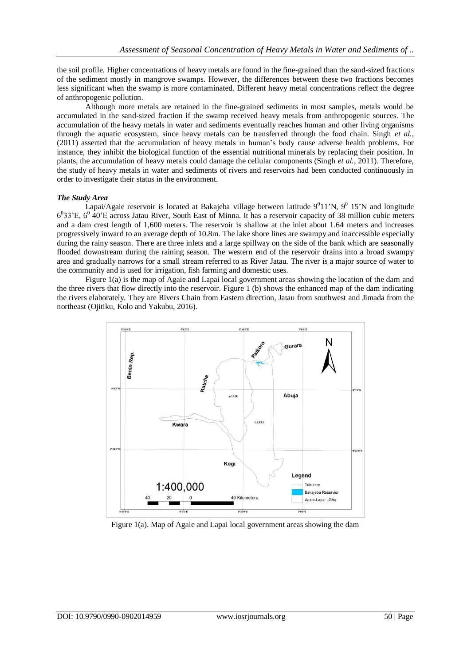the soil profile. Higher concentrations of heavy metals are found in the fine-grained than the sand-sized fractions of the sediment mostly in mangrove swamps. However, the differences between these two fractions becomes less significant when the swamp is more contaminated. Different heavy metal concentrations reflect the degree of anthropogenic pollution.

Although more metals are retained in the fine-grained sediments in most samples, metals would be accumulated in the sand-sized fraction if the swamp received heavy metals from anthropogenic sources. The accumulation of the heavy metals in water and sediments eventually reaches human and other living organisms through the aquatic ecosystem, since heavy metals can be transferred through the food chain. Singh *et al.,*  (2011) asserted that the accumulation of heavy metals in human's body cause adverse health problems. For instance, they inhibit the biological function of the essential nutritional minerals by replacing their position. In plants, the accumulation of heavy metals could damage the cellular components (Singh *et al.*, 2011). Therefore, the study of heavy metals in water and sediments of rivers and reservoirs had been conducted continuously in order to investigate their status in the environment.

#### *The Study Area*

Lapai/Agaie reservoir is located at Bakajeba village between latitude  $9^011'N$ ,  $9^015'N$  and longitude  $6^033$ 'E,  $6^0$  40'E across Jatau River, South East of Minna. It has a reservoir capacity of 38 million cubic meters and a dam crest length of 1,600 meters. The reservoir is shallow at the inlet about 1.64 meters and increases progressively inward to an average depth of 10.8m. The lake shore lines are swampy and inaccessible especially during the rainy season. There are three inlets and a large spillway on the side of the bank which are seasonally flooded downstream during the raining season. The western end of the reservoir drains into a broad swampy area and gradually narrows for a small stream referred to as River Jatau. The river is a major source of water to the community and is used for irrigation, fish farming and domestic uses.

Figure 1(a) is the map of Agaie and Lapai local government areas showing the location of the dam and the three rivers that flow directly into the reservoir. Figure 1 (b) shows the enhanced map of the dam indicating the rivers elaborately. They are Rivers Chain from Eastern direction, Jatau from southwest and Jimada from the northeast (Ojitiku, Kolo and Yakubu, 2016).



Figure 1(a). Map of Agaie and Lapai local government areas showing the dam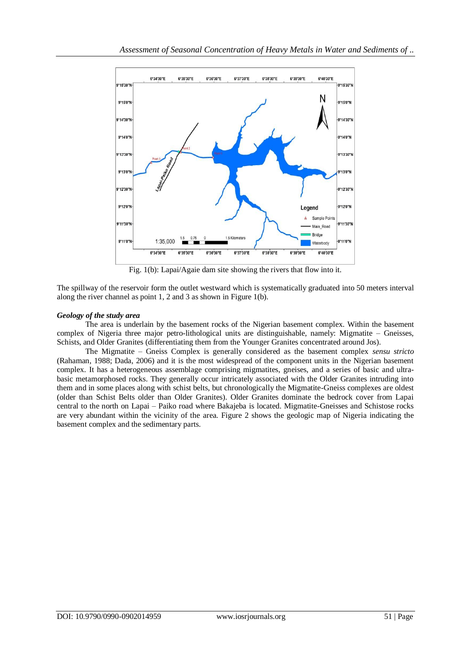

Fig. 1(b): Lapai/Agaie dam site showing the rivers that flow into it.

The spillway of the reservoir form the outlet westward which is systematically graduated into 50 meters interval along the river channel as point 1, 2 and 3 as shown in Figure 1(b).

# *Geology of the study area*

The area is underlain by the basement rocks of the Nigerian basement complex. Within the basement complex of Nigeria three major petro-lithological units are distinguishable, namely: Migmatite – Gneisses, Schists, and Older Granites (differentiating them from the Younger Granites concentrated around Jos).

The Migmatite – Gneiss Complex is generally considered as the basement complex *sensu stricto* (Rahaman, 1988; Dada, 2006) and it is the most widespread of the component units in the Nigerian basement complex. It has a heterogeneous assemblage comprising migmatites, gneises, and a series of basic and ultrabasic metamorphosed rocks. They generally occur intricately associated with the Older Granites intruding into them and in some places along with schist belts, but chronologically the Migmatite-Gneiss complexes are oldest (older than Schist Belts older than Older Granites). Older Granites dominate the bedrock cover from Lapai central to the north on Lapai – Paiko road where Bakajeba is located. Migmatite-Gneisses and Schistose rocks are very abundant within the vicinity of the area. Figure 2 shows the geologic map of Nigeria indicating the basement complex and the sedimentary parts.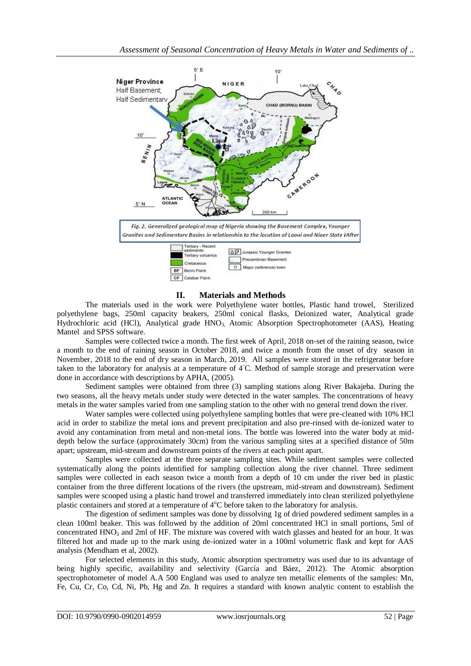

# **II. Materials and Methods**

The materials used in the work were Polyethylene water bottles, Plastic hand trowel, Sterilized polyethylene bags, 250ml capacity beakers, 250ml conical flasks, Deionized water, Analytical grade Hydrochloric acid (HCl), Analytical grade HNO<sub>3</sub>, Atomic Absorption Spectrophotometer (AAS), Heating Mantel and SPSS software.

Samples were collected twice a month. The first week of April, 2018 on-set of the raining season, twice a month to the end of raining season in October 2018, and twice a month from the onset of dry season in November, 2018 to the end of dry season in March, 2019. All samples were stored in the refrigerator before taken to the laboratory for analysis at a temperature of 4◦C. Method of sample storage and preservation were done in accordance with descriptions by APHA, (2005).

Sediment samples were obtained from three (3) sampling stations along River Bakajeba. During the two seasons, all the heavy metals under study were detected in the water samples. The concentrations of heavy metals in the water samples varied from one sampling station to the other with no general trend down the river.

Water samples were collected using polyethylene sampling bottles that were pre-cleaned with 10% HCl acid in order to stabilize the metal ions and prevent precipitation and also pre-rinsed with de-ionized water to avoid any contamination from metal and non-metal ions. The bottle was lowered into the water body at middepth below the surface (approximately 30cm) from the various sampling sites at a specified distance of 50m apart; upstream, mid-stream and downstream points of the rivers at each point apart.

Samples were collected at the three separate sampling sites. While sediment samples were collected systematically along the points identified for sampling collection along the river channel. Three sediment samples were collected in each season twice a month from a depth of 10 cm under the river bed in plastic container from the three different locations of the rivers (the upstream, mid-stream and downstream). Sediment samples were scooped using a plastic hand trowel and transferred immediately into clean sterilized polyethylene plastic containers and stored at a temperature of  $4^{\circ}C$  before taken to the laboratory for analysis.

The digestion of sediment samples was done by dissolving 1g of dried powdered sediment samples in a clean 100ml beaker. This was followed by the addition of 20ml concentrated HCl in small portions, 5ml of concentrated HNO<sub>3</sub> and 2ml of HF. The mixture was covered with watch glasses and heated for an hour. It was filtered hot and made up to the mark using de-ionized water in a 100ml volumetric flask and kept for AAS analysis (Mendham et al, 2002).

For selected elements in this study, Atomic absorption spectrometry was used due to its advantage of being highly specific, availability and selectivity (García and Báez, 2012). The Atomic absorption spectrophotometer of model A.A 500 England was used to analyze ten metallic elements of the samples: Mn, Fe, Cu, Cr, Co, Cd, Ni, Pb, Hg and Zn. It requires a standard with known analytic content to establish the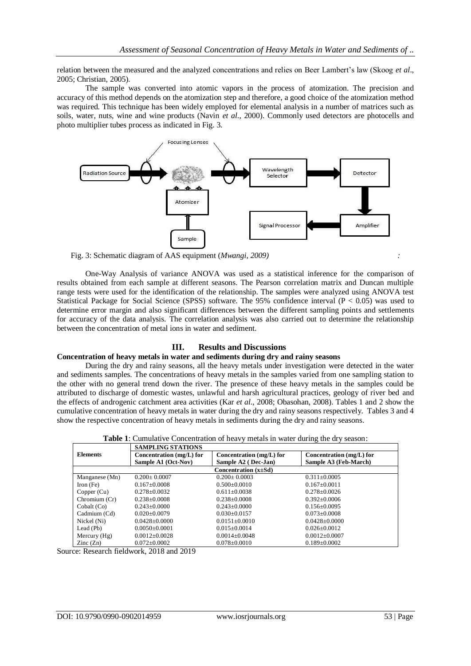relation between the measured and the analyzed concentrations and relies on Beer Lambert's law (Skoog *et al*., 2005; Christian, 2005).

The sample was converted into atomic vapors in the process of atomization. The precision and accuracy of this method depends on the atomization step and therefore, a good choice of the atomization method was required. This technique has been widely employed for elemental analysis in a number of matrices such as soils, water, nuts, wine and wine products (Navin *et al*., 2000). Commonly used detectors are photocells and photo multiplier tubes process as indicated in Fig. 3.



Fig. 3: Schematic diagram of AAS equipment (*Mwangi, 2009) :*

One-Way Analysis of variance ANOVA was used as a statistical inference for the comparison of results obtained from each sample at different seasons. The Pearson correlation matrix and Duncan multiple range tests were used for the identification of the relationship. The samples were analyzed using ANOVA test Statistical Package for Social Science (SPSS) software. The 95% confidence interval ( $P < 0.05$ ) was used to determine error margin and also significant differences between the different sampling points and settlements for accuracy of the data analysis. The correlation analysis was also carried out to determine the relationship between the concentration of metal ions in water and sediment.

# **III. Results and Discussions**

#### **Concentration of heavy metals in water and sediments during dry and rainy seasons**

During the dry and rainy seasons, all the heavy metals under investigation were detected in the water and sediments samples. The concentrations of heavy metals in the samples varied from one sampling station to the other with no general trend down the river. The presence of these heavy metals in the samples could be attributed to discharge of domestic wastes, unlawful and harsh agricultural practices, geology of river bed and the effects of androgenic catchment area activities (Kar *et al*., 2008; Obasohan, 2008). Tables 1 and 2 show the cumulative concentration of heavy metals in water during the dry and rainy seasons respectively. Tables 3 and 4 show the respective concentration of heavy metals in sediments during the dry and rainy seasons.

|                            | <b>SAMPLING STATIONS</b>   |                            |                          |  |  |  |
|----------------------------|----------------------------|----------------------------|--------------------------|--|--|--|
| <b>Elements</b>            | Concentration $(mg/L)$ for | Concentration $(mg/L)$ for | Concentration (mg/L) for |  |  |  |
|                            | Sample A1 (Oct-Nov)        | Sample A2 (Dec-Jan)        | Sample A3 (Feb-March)    |  |  |  |
| Concentration $(x \pm Sd)$ |                            |                            |                          |  |  |  |
| Manganese (Mn)             | $0.200 + 0.0007$           | $0.200 + 0.0003$           | $0.311 + 0.0005$         |  |  |  |
| Iron (Fe)                  | $0.167 + 0.0008$           | $0.500+0.0010$             | $0.167+0.0011$           |  |  |  |
| Copper $(Cu)$              | $0.278 + 0.0032$           | $0.611 \pm 0.0038$         | $0.278 + 0.0026$         |  |  |  |
| Chromium (Cr)              | $0.238 + 0.0008$           | $0.238 + 0.0008$           | $0.392 + 0.0006$         |  |  |  |
| Cobalt (Co)                | $0.243+0.0000$             | $0.243+0.0000$             | $0.156 + 0.0095$         |  |  |  |
| Cadmium (Cd)               | $0.020 + 0.0079$           | $0.030 + 0.0157$           | $0.073 + 0.0008$         |  |  |  |
| Nickel (Ni)                | $0.0428 \pm 0.0000$        | $0.0151 \pm 0.0010$        | $0.0428 + 0.0000$        |  |  |  |
| Lead (Pb)                  | $0.0050 + 0.0001$          | $0.015 \pm 0.0014$         | $0.026 + 0.0012$         |  |  |  |
| Mercury $(Hg)$             | $0.0012 \pm 0.0028$        | $0.0014 + 0.0048$          | $0.0012 \pm 0.0007$      |  |  |  |
| $\text{Zinc}(\text{Zn})$   | $0.072 + 0.0002$           | $0.078 \pm 0.0010$         | $0.189 + 0.0002$         |  |  |  |

**Table 1**: Cumulative Concentration of heavy metals in water during the dry season:

Source: Research fieldwork, 2018 and 2019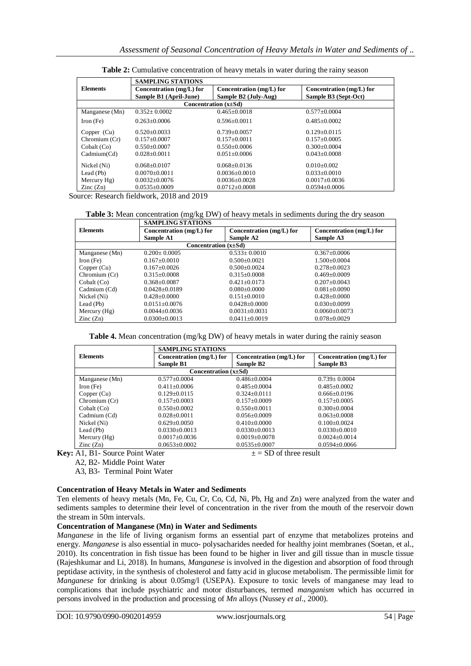|                            | <b>SAMPLING STATIONS</b>                             |                                                    |                                                  |  |  |
|----------------------------|------------------------------------------------------|----------------------------------------------------|--------------------------------------------------|--|--|
| <b>Elements</b>            | Concentration $(mg/L)$ for<br>Sample B1 (April-June) | Concentration $(mg/L)$ for<br>Sample B2 (July-Aug) | Concentration (mg/L) for<br>Sample B3 (Sept-Oct) |  |  |
| Concentration $(x \pm Sd)$ |                                                      |                                                    |                                                  |  |  |
| Manganese (Mn)             | $0.352 + 0.0002$                                     | $0.465 + 0.0018$                                   | $0.577+0.0004$                                   |  |  |
| Iron (Fe)                  | $0.263 + 0.0006$                                     | $0.596 + 0.0011$                                   | $0.485 + 0.0002$                                 |  |  |
| Copper $(Cu)$              | $0.520 + 0.0033$                                     | $0.739 + 0.0057$                                   | $0.129 + 0.0115$                                 |  |  |
| Chromium (Cr)              | $0.157 \pm 0.0007$                                   | $0.157+0.0011$                                     | $0.157+0.0005$                                   |  |  |
| Cobalt (Co)                | $0.550+0.0007$                                       | $0.550+0.0006$                                     | $0.300 + 0.0004$                                 |  |  |
| Cadmium(Cd)                | $0.028 + 0.0011$                                     | $0.051 + 0.0006$                                   | $0.043 + 0.0008$                                 |  |  |
| Nickel (Ni)                | $0.068 + 0.0107$                                     | $0.068 + 0.0136$                                   | $0.010 + 0.002$                                  |  |  |
| Lead (Pb)                  | $0.0070 \pm 0.0011$                                  | $0.0036 + 0.0010$                                  | $0.033+0.0010$                                   |  |  |
| Mercury Hg)                | $0.0032 \pm 0.0076$                                  | $0.0036 \pm 0.0028$                                | $0.0017 \pm 0.0036$                              |  |  |
| $\text{Zinc}(\text{Zn})$   | $0.0535 \pm 0.0009$                                  | $0.0712 \pm 0.0008$                                | $0.0594 \pm 0.0006$                              |  |  |

**Table 2:** Cumulative concentration of heavy metals in water during the rainy season

Source: Research fieldwork, 2018 and 2019

**Table 3:** Mean concentration (mg/kg DW) of heavy metals in sediments during the dry season

|                            | <b>SAMPLING STATIONS</b> |                          |                          |  |  |
|----------------------------|--------------------------|--------------------------|--------------------------|--|--|
| <b>Elements</b>            | Concentration (mg/L) for | Concentration (mg/L) for | Concentration (mg/L) for |  |  |
|                            | Sample A1                | Sample A2                | Sample A3                |  |  |
| Concentration $(x \pm Sd)$ |                          |                          |                          |  |  |
| Manganese (Mn)             | $0.200 \pm 0.0005$       | $0.533 \pm 0.0010$       | $0.367+0.0006$           |  |  |
| Iron (Fe)                  | $0.167+0.0010$           | $0.500+0.0021$           | $1.500+0.0004$           |  |  |
| Copper $(Cu)$              | $0.167+0.0026$           | $0.500+0.0024$           | $0.278 + 0.0023$         |  |  |
| Chromium $(Cr)$            | $0.315 \pm 0.0008$       | $0.315 \pm 0.0008$       | $0.469 + 0.0009$         |  |  |
| Cobalt (Co)                | $0.368 + 0.0087$         | $0.421 + 0.0173$         | $0.207+0.0043$           |  |  |
| Cadmium (Cd)               | $0.0428 + 0.0189$        | $0.080 + 0.0000$         | $0.081 + 0.0090$         |  |  |
| Nickel (Ni)                | $0.428 \pm 0.0000$       | $0.151 \pm 0.0010$       | $0.428 + 0.0000$         |  |  |
| Lead (Pb)                  | $0.0151 \pm 0.0076$      | $0.0428 + 0.0000$        | $0.030+0.0099$           |  |  |
| Mercury $(Hg)$             | $0.0044 \pm 0.0036$      | $0.0031 \pm 0.0031$      | $0.0060 \pm 0.0073$      |  |  |
| $\text{Zinc}(\text{Zn})$   | $0.0300 + 0.0013$        | $0.0411 + 0.0019$        | $0.078 + 0.0029$         |  |  |

**Table 4.** Mean concentration (mg/kg DW) of heavy metals in water during the rainiy season

|                            | <b>SAMPLING STATIONS</b> |                          |                          |  |  |
|----------------------------|--------------------------|--------------------------|--------------------------|--|--|
| <b>Elements</b>            | Concentration (mg/L) for | Concentration (mg/L) for | Concentration (mg/L) for |  |  |
|                            | <b>Sample B1</b>         | Sample B2                | Sample B3                |  |  |
| Concentration $(x \pm Sd)$ |                          |                          |                          |  |  |
| Manganese (Mn)             | $0.577 \pm 0.0004$       | $0.486 \pm 0.0004$       | $0.739 \pm 0.0004$       |  |  |
| Iron (Fe)                  | $0.411 + 0.0006$         | $0.485 + 0.0004$         | $0.485 + 0.0002$         |  |  |
| Copper (Cu)                | $0.129 + 0.0115$         | $0.324 + 0.0111$         | $0.666 + 0.0196$         |  |  |
| Chromium $(Cr)$            | $0.157+0.0003$           | $0.157+0.0009$           | $0.157 + 0.0005$         |  |  |
| Cobalt (Co)                | $0.550+0.0002$           | $0.550+0.0011$           | $0.300 + 0.0004$         |  |  |
| Cadmium (Cd)               | $0.028 \pm 0.0011$       | $0.056 + 0.0009$         | $0.063 + 0.0008$         |  |  |
| Nickel (Ni)                | $0.629 + 0.0050$         | $0.410\pm0.0000$         | $0.100+0.0024$           |  |  |
| Lead (Pb)                  | $0.0330\pm0.0013$        | $0.0330\pm0.0013$        | $0.0330\pm0.0010$        |  |  |
| Mercury $(Hg)$             | $0.0017 \pm 0.0036$      | $0.0019 \pm 0.0078$      | $0.0024 \pm 0.0014$      |  |  |
| $\text{Zinc}(\text{Zn})$   | $0.0653 \pm 0.0002$      | $0.0535 \pm 0.0007$      | $0.0594 \pm 0.0066$      |  |  |

**Key:** A1, B1- Source Point Water  $\pm$   $=$  SD of three result A2, B2- Middle Point Water

A3, B3- Terminal Point Water

**Concentration of Heavy Metals in Water and Sediments**

Ten elements of heavy metals (Mn, Fe, Cu, Cr, Co, Cd, Ni, Pb, Hg and Zn) were analyzed from the water and sediments samples to determine their level of concentration in the river from the mouth of the reservoir down the stream in 50m intervals.

#### **Concentration of Manganese (Mn) in Water and Sediments**

*Manganese* in the life of living organism forms an essential part of enzyme that metabolizes proteins and energy. *Manganese* is also essential in muco- polysacharides needed for healthy joint membranes (Soetan, et al., 2010). Its concentration in fish tissue has been found to be higher in liver and gill tissue than in muscle tissue (Rajeshkumar and Li, 2018). In humans, *Manganese* is involved in the digestion and absorption of food through peptidase activity, in the synthesis of cholesterol and fatty acid in glucose metabolism. The permissible limit for *Manganese* for drinking is about 0.05mg/l (USEPA). Exposure to toxic levels of manganese may lead to complications that include psychiatric and motor disturbances, termed *manganism* which has occurred in persons involved in the production and processing of *Mn* alloys (Nussey *et al.*, 2000).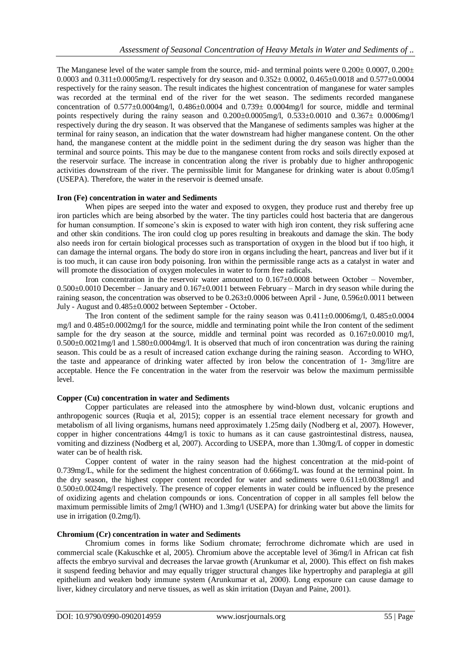The Manganese level of the water sample from the source, mid- and terminal points were  $0.200\pm 0.0007$ ,  $0.200\pm$ 0.0003 and 0.311±0.0005mg/L respectively for dry season and 0.352± 0.0002, 0.465±0.0018 and 0.577±0.0004 respectively for the rainy season. The result indicates the highest concentration of manganese for water samples was recorded at the terminal end of the river for the wet season. The sediments recorded manganese concentration of  $0.577 \pm 0.0004$  mg/l,  $0.486 \pm 0.0004$  and  $0.739 \pm 0.0004$  mg/l for source, middle and terminal points respectively during the rainy season and  $0.200\pm0.0005$  mg/l,  $0.533\pm0.0010$  and  $0.367\pm0.0006$  mg/l respectively during the dry season. It was observed that the Manganese of sediments samples was higher at the terminal for rainy season, an indication that the water downstream had higher manganese content. On the other hand, the manganese content at the middle point in the sediment during the dry season was higher than the terminal and source points. This may be due to the manganese content from rocks and soils directly exposed at the reservoir surface. The increase in concentration along the river is probably due to higher anthropogenic activities downstream of the river. The permissible limit for Manganese for drinking water is about 0.05mg/l (USEPA). Therefore, the water in the reservoir is deemed unsafe.

#### **Iron (Fe) concentration in water and Sediments**

When pipes are seeped into the water and exposed to oxygen, they produce rust and thereby free up iron particles which are being absorbed by the water. The tiny particles could host bacteria that are dangerous for human consumption. If someone's skin is exposed to water with high iron content, they risk suffering acne and other skin conditions. The iron could clog up pores resulting in breakouts and damage the skin. The body also needs iron for certain biological processes such as transportation of oxygen in the blood but if too high, it can damage the internal organs. The body do store iron in organs including the heart, pancreas and liver but if it is too much, it can cause iron body poisoning. Iron within the permissible range acts as a catalyst in water and will promote the dissociation of oxygen molecules in water to form free radicals.

Iron concentration in the reservoir water amounted to  $0.167\pm0.0008$  between October – November, 0.500±0.0010 December – January and 0.167±0.0011 between February – March in dry season while during the raining season, the concentration was observed to be 0.263±0.0006 between April - June, 0.596±0.0011 between July - August and 0.485±0.0002 between September - October.

The Iron content of the sediment sample for the rainy season was  $0.411\pm0.0006$  mg/l,  $0.485\pm0.0004$ mg/l and 0.485±0.0002mg/l for the source, middle and terminating point while the Iron content of the sediment sample for the dry season at the source, middle and terminal point was recorded as  $0.167\pm0.0010$  mg/l, 0.500±0.0021mg/l and 1.580±0.0004mg/l. It is observed that much of iron concentration was during the raining season. This could be as a result of increased cation exchange during the raining season. According to WHO, the taste and appearance of drinking water affected by iron below the concentration of 1- 3mg/litre are acceptable. Hence the Fe concentration in the water from the reservoir was below the maximum permissible level.

# **Copper (Cu) concentration in water and Sediments**

Copper particulates are released into the atmosphere by wind-blown dust, volcanic eruptions and anthropogenic sources (Ruqia et al, 2015); copper is an essential trace element necessary for growth and metabolism of all living organisms, humans need approximately 1.25mg daily (Nodberg et al, 2007). However, copper in higher concentrations 44mg/l is toxic to humans as it can cause gastrointestinal distress, nausea, vomiting and dizziness (Nodberg et al, 2007). According to USEPA, more than 1.30mg/L of copper in domestic water can be of health risk.

Copper content of water in the rainy season had the highest concentration at the mid-point of 0.739mg/L, while for the sediment the highest concentration of 0.666mg/L was found at the terminal point. In the dry season, the highest copper content recorded for water and sediments were  $0.611\pm0.0038$ mg/l and 0.500±0.0024mg/l respectively. The presence of copper elements in water could be influenced by the presence of oxidizing agents and chelation compounds or ions. Concentration of copper in all samples fell below the maximum permissible limits of 2mg/l (WHO) and 1.3mg/l (USEPA) for drinking water but above the limits for use in irrigation (0.2mg/l).

#### **Chromium (Cr) concentration in water and Sediments**

Chromium comes in forms like Sodium chromate; ferrochrome dichromate which are used in commercial scale (Kakuschke et al, 2005). Chromium above the acceptable level of 36mg/l in African cat fish affects the embryo survival and decreases the larvae growth (Arunkumar et al, 2000). This effect on fish makes it suspend feeding behavior and may equally trigger structural changes like hypertrophy and paraplegia at gill epithelium and weaken body immune system (Arunkumar et al, 2000). Long exposure can cause damage to liver, kidney circulatory and nerve tissues, as well as skin irritation (Dayan and Paine, 2001).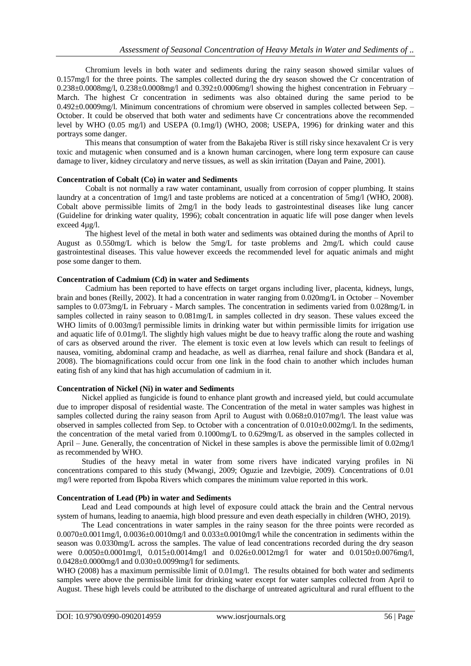Chromium levels in both water and sediments during the rainy season showed similar values of 0.157mg/l for the three points. The samples collected during the dry season showed the Cr concentration of  $0.238\pm0.0008$ mg/l,  $0.238\pm0.0008$ mg/l and  $0.392\pm0.0006$ mg/l showing the highest concentration in February – March. The highest Cr concentration in sediments was also obtained during the same period to be 0.492±0.0009mg/l. Minimum concentrations of chromium were observed in samples collected between Sep. – October. It could be observed that both water and sediments have Cr concentrations above the recommended level by WHO (0.05 mg/l) and USEPA (0.1mg/l) (WHO, 2008; USEPA, 1996) for drinking water and this portrays some danger.

This means that consumption of water from the Bakajeba River is still risky since hexavalent Cr is very toxic and mutagenic when consumed and is a known human carcinogen, where long term exposure can cause damage to liver, kidney circulatory and nerve tissues, as well as skin irritation (Dayan and Paine, 2001).

#### **Concentration of Cobalt (Co) in water and Sediments**

Cobalt is not normally a raw water contaminant, usually from corrosion of copper plumbing. It stains laundry at a concentration of 1mg/l and taste problems are noticed at a concentration of 5mg/l (WHO, 2008). Cobalt above permissible limits of 2mg/l in the body leads to gastrointestinal diseases like lung cancer (Guideline for drinking water quality, 1996); cobalt concentration in aquatic life will pose danger when levels exceed 4µg/l.

The highest level of the metal in both water and sediments was obtained during the months of April to August as 0.550mg/L which is below the 5mg/L for taste problems and 2mg/L which could cause gastrointestinal diseases. This value however exceeds the recommended level for aquatic animals and might pose some danger to them.

# **Concentration of Cadmium (Cd) in water and Sediments**

Cadmium has been reported to have effects on target organs including liver, placenta, kidneys, lungs, brain and bones (Reilly, 2002). It had a concentration in water ranging from 0.020mg/L in October – November samples to 0.073mg/L in February - March samples. The concentration in sediments varied from 0.028mg/L in samples collected in rainy season to  $0.081$ mg/L in samples collected in dry season. These values exceed the WHO limits of 0.003mg/l permissible limits in drinking water but within permissible limits for irrigation use and aquatic life of 0.01mg/l. The slightly high values might be due to heavy traffic along the route and washing of cars as observed around the river. The element is toxic even at low levels which can result to feelings of nausea, vomiting, abdominal cramp and headache, as well as diarrhea, renal failure and shock (Bandara et al, 2008). The biomagnifications could occur from one link in the food chain to another which includes human eating fish of any kind that has high accumulation of cadmium in it.

#### **Concentration of Nickel (Ni) in water and Sediments**

Nickel applied as fungicide is found to enhance plant growth and increased yield, but could accumulate due to improper disposal of residential waste. The Concentration of the metal in water samples was highest in samples collected during the rainy season from April to August with  $0.068 \pm 0.0107$ mg/l. The least value was observed in samples collected from Sep. to October with a concentration of 0.010±0.002mg/l. In the sediments, the concentration of the metal varied from 0.1000mg/L to 0.629mg/L as observed in the samples collected in April – June. Generally, the concentration of Nickel in these samples is above the permissible limit of 0.02mg/l as recommended by WHO.

Studies of the heavy metal in water from some rivers have indicated varying profiles in Ni concentrations compared to this study (Mwangi, 2009; Oguzie and Izevbigie, 2009). Concentrations of 0.01 mg/l were reported from Ikpoba Rivers which compares the minimum value reported in this work.

## **Concentration of Lead (Pb) in water and Sediments**

Lead and Lead compounds at high level of exposure could attack the brain and the Central nervous system of humans, leading to anaemia, high blood pressure and even death especially in children (WHO, 2019).

The Lead concentrations in water samples in the rainy season for the three points were recorded as  $0.0070\pm0.0011\,\text{mg}/l$ ,  $0.0036\pm0.0010\,\text{mg}/l$  and  $0.033\pm0.0010\,\text{mg}/l$  while the concentration in sediments within the season was 0.0330mg/L across the samples. The value of lead concentrations recorded during the dry season were 0.0050±0.0001mg/l, 0.015±0.0014mg/l and 0.026±0.0012mg/l for water and 0.0150±0.0076mg/l, 0.0428±0.0000mg/l and 0.030±0.0099mg/l for sediments.

WHO (2008) has a maximum permissible limit of 0.01mg/l. The results obtained for both water and sediments samples were above the permissible limit for drinking water except for water samples collected from April to August. These high levels could be attributed to the discharge of untreated agricultural and rural effluent to the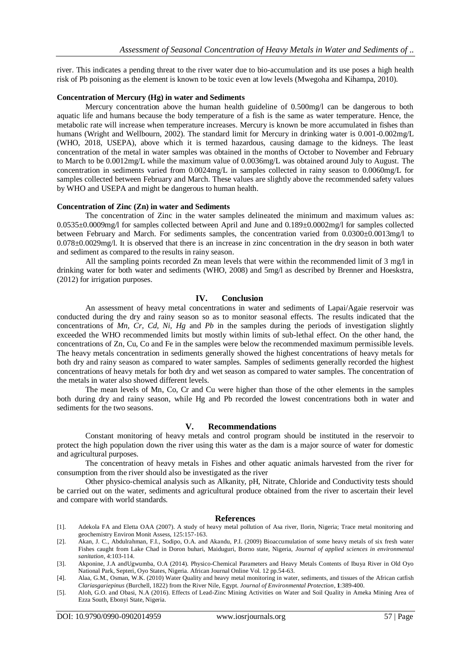river. This indicates a pending threat to the river water due to bio-accumulation and its use poses a high health risk of Pb poisoning as the element is known to be toxic even at low levels (Mwegoha and Kihampa, 2010).

#### **Concentration of Mercury (Hg) in water and Sediments**

Mercury concentration above the human health guideline of 0.500mg/l can be dangerous to both aquatic life and humans because the body temperature of a fish is the same as water temperature. Hence, the metabolic rate will increase when temperature increases. Mercury is known be more accumulated in fishes than humans (Wright and Wellbourn, 2002). The standard limit for Mercury in drinking water is 0.001-0.002mg/L (WHO, 2018, USEPA), above which it is termed hazardous, causing damage to the kidneys. The least concentration of the metal in water samples was obtained in the months of October to November and February to March to be 0.0012mg/L while the maximum value of 0.0036mg/L was obtained around July to August. The concentration in sediments varied from 0.0024mg/L in samples collected in rainy season to 0.0060mg/L for samples collected between February and March. These values are slightly above the recommended safety values by WHO and USEPA and might be dangerous to human health.

# **Concentration of Zinc (Zn) in water and Sediments**

The concentration of Zinc in the water samples delineated the minimum and maximum values as: 0.0535±0.0009mg/l for samples collected between April and June and 0.189±0.0002mg/l for samples collected between February and March. For sediments samples, the concentration varied from 0.0300±0.0013mg/l to 0.078±0.0029mg/l. It is observed that there is an increase in zinc concentration in the dry season in both water and sediment as compared to the results in rainy season.

All the sampling points recorded Zn mean levels that were within the recommended limit of 3 mg/l in drinking water for both water and sediments (WHO, 2008) and 5mg/l as described by Brenner and Hoeskstra, (2012) for irrigation purposes.

#### **IV. Conclusion**

An assessment of heavy metal concentrations in water and sediments of Lapai/Agaie reservoir was conducted during the dry and rainy season so as to monitor seasonal effects. The results indicated that the concentrations of *Mn, Cr, Cd, Ni, Hg* and *Pb* in the samples during the periods of investigation slightly exceeded the WHO recommended limits but mostly within limits of sub-lethal effect. On the other hand, the concentrations of Zn, Cu, Co and Fe in the samples were below the recommended maximum permissible levels. The heavy metals concentration in sediments generally showed the highest concentrations of heavy metals for both dry and rainy season as compared to water samples. Samples of sediments generally recorded the highest concentrations of heavy metals for both dry and wet season as compared to water samples. The concentration of the metals in water also showed different levels.

The mean levels of Mn, Co, Cr and Cu were higher than those of the other elements in the samples both during dry and rainy season, while Hg and Pb recorded the lowest concentrations both in water and sediments for the two seasons.

#### **V. Recommendations**

Constant monitoring of heavy metals and control program should be instituted in the reservoir to protect the high population down the river using this water as the dam is a major source of water for domestic and agricultural purposes.

The concentration of heavy metals in Fishes and other aquatic animals harvested from the river for consumption from the river should also be investigated as the river

Other physico-chemical analysis such as Alkanity, pH, Nitrate, Chloride and Conductivity tests should be carried out on the water, sediments and agricultural produce obtained from the river to ascertain their level and compare with world standards.

#### **References**

- [1]. Adekola FA and Eletta OAA (2007). A study of heavy metal pollution of Asa river, Ilorin, Nigeria; Trace metal monitoring and geochemistry Environ Monit Assess, 125:157-163.
- [2]. Akan, J. C., Abdulrahman, F.I., Sodipo, O.A. and Akandu, P.I. (2009) Bioaccumulation of some heavy metals of six fresh water Fishes caught from Lake Chad in Doron buhari, Maiduguri, Borno state, Nigeria, *Journal of applied sciences in environmental sanitation*, 4:103-114.
- [3]. Akponine, J.A andUgwumba, O.A (2014). Physico-Chemical Parameters and Heavy Metals Contents of Ibuya River in Old Oyo National Park, Septeri, Oyo States, Nigeria. African Journal Online Vol. 12 pp.54-63.
- [4]. Alaa, G.M., Osman, W.K. (2010) Water Quality and heavy metal monitoring in water, sediments, and tissues of the African catfish *Clariasgariepinus* (Burchell, 1822) from the River Nile, Egypt. *Journal of Environmental Protection*, **1**:389-400.
- [5]. Aloh, G.O. and Obasi, N.A (2016). Effects of Lead-Zinc Mining Activities on Water and Soil Quality in Ameka Mining Area of Ezza South, Ebonyi State, Nigeria.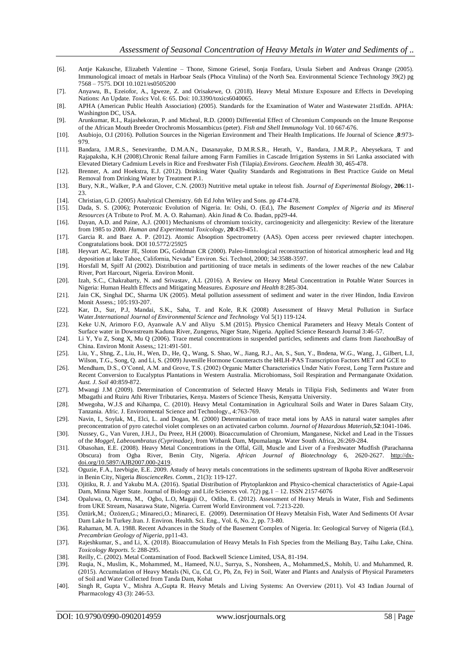- [6]. Antje Kakusche, Elizabeth Valentine Thone, Simone Griesel, Sonja Fonfara, Ursula Siebert and Andreas Orange (2005). Immunological imoact of metals in Harboar Seals (Phoca Vitulina) of the North Sea. Environmental Science Technology 39(2) pg 7568 – 7575. DOI 10.1021/es0505200
- [7]. Anyawu, B., Ezeiofor, A., Igweze, Z. and Orisakewe, O. (2018). Heavy Metal Mixture Exposure and Effects in Developing Nations: An Update. *Toxics* Vol. 6: 65. Doi: 10.3390/toxics6040065.
- [8]. APHA (American Public Health Association) (2005). Standards for the Examination of Water and Wastewater 21stEdn. APHA: Washington DC, USA.
- [9]. Arunkumar, R.I., Rajashekoran, P. and Micheal, R.D. (2000) Differential Effect of Chromium Compounds on the Imune Response of the African Mouth Breeder Orochromis Mossambicus (peter). *Fish and Shell Immunology* Vol. 10 667-676.
- [10]. Asubiojo, O.I (2016). Pollution Sources in the Nigerian Environment and Their Health Implications. Ife Journal of Science ,**8**:973- 979.
- [11]. Bandara, J.M.R.S., Seneviranthe, D.M.A.N., Dasanayake, D.M.R.S.R., Herath, V., Bandara, J.M.R.P., Abeysekara, T and Rajapaksha, K.H (2008).Chronic Renal failure among Farm Families in Cascade Irrigation Systems in Sri Lanka associated with Elevated Dietary Cadmium Levels in Rice and Freshwater Fish (Tilapia).*Environs. Geochem. Health* 30, 465-478.
- [12]. Brenner, A. and Hoekstra, E.J. (2012). Drinking Water Quality Standards and Registrations in Best Practice Guide on Metal Removal from Drinking Water by Treatment P.1.
- [13]. Bury, N.R., Walker, P.A and Glover, C.N. (2003) Nutritive metal uptake in teleost fish. *Journal of Experimental Biology*, **206**:11- 23.
- [14]. Christian, G.D. (2005) Analytical Chemistry. 6th Ed John Wiley and Sons. pp 474-478.
- [15]. Dada, S. S. (2006); Proterozoic Evolution of Nigeria. In: Oshi, O. (Ed.), *The Basement Complex of Nigeria and its Mineral Resources* (A Tribute to Prof. M. A. O. Rahaman). Akin Jinad & Co. Ibadan, pp29-44.
- [16]. Dayan, A.D. and Paine, A.J. (2001) Mechanisms of chromium toxicity, carcinogenicity and allergenicity: Review of the literature from 1985 to 2000. *Human and Experimental Toxicology,* **20**:439-451.
- [17]. Garcia R. and Baez A. P. (2012). Atomic Absoption Spectrometry (AAS). Open access peer reviewed chapter intechopen. Congratulations book. DOI 10.5772/25925
- [18]. Heyvart AC, Reuter JE, Sloton DG, Goldman CR (2000). Paleo-limnological reconstruction of historical atmospheric lead and Hg deposition at lake Tahoe, California, Nevada" Environ. Sci. Technol, 2000; 34:3588-3597.
- [19]. Horsfall M, Spiff AI (2002). Distribution and partitioning of trace metals in sediments of the lower reaches of the new Calabar River, Port Harcourt, Nigeria. Environ Monit.
- [20]. Izah, S.C., Chakrabarty, N. and Srivastav, A.L (2016). A Review on Heavy Metal Concentration in Potable Water Sources in Nigeria: Human Health Effects and Mitigating Measures. *Exposure and Health* 8:285-304.
- [21]. Jain CK, Singhal DC, Sharma UK (2005). Metal pollution assessment of sediment and water in the river Hindon, India Environ Monit Assess.; 105:193-207.
- [22]. Kar, D., Sur, P.J, Mandai, S.K., Saha, T. and Kole, R.K (2008) Assessment of Heavy Metal Pollution in Surface Water.*International Journal of Environmental Science and Technology* Vol 5(1) 119-124.
- [23]. Keke U.N, Arimoro F.O, Ayanwale A.V and Aliyu S.M (2015). Physico Chemical Parameters and Heavy Metals Content of Surface water in Downstream Kaduna River, Zungerus, Niger State, Nigeria. Applied Science Research Journal 3:46-57.
- [24]. Li Y, Yu Z, Song X, Mu Q (2006). Trace metal concentrations in suspended particles, sediments and clams from JiaozhouBay of China. Environ Monit Assess,; 121:491-501.
- [25]. Liu, Y., Shng, Z., Liu, H., Wen, D., He, Q., Wang, S. Shao, W., Jiang, R.J., An, S., Sun, Y., Bndena, W.G., Wang, J., Gilbert, L.I, Wilson, T.G., Song, Q. and Li, S. (2009) Juvenille Hormone Counteracts the bHLH-PAS Transcription Factors MET and GCE to
- [26]. Mendham, D.S., O'Connl, A.M. and Grove, T.S. (2002) Organic Matter Characteristics Under Nativ Forest, Long Term Pasture and Recent Conversion to Eucalyptus Plantations in Western Australia. Microbiomass, Soil Respiration and Permanganate Oxidation. *Aust. J. Soil* 40:859-872.
- [27]. Mwangi J.M (2009). Determination of Concentration of Selected Heavy Metals in Tilipia Fish, Sediments and Water from Mbagathi and Ruiru Athi River Tributaries, Kenya. Masters of Science Thesis, Kenyatta University.
- [28]. Mwegoha, W.J.S and Kihampa, C. (2010). Heavy Metal Contamination in Agricultural Soils and Water in Dares Salaam City, Tanzania. Afric. J. Environmental Science and Technology., 4:763-769.
- [29]. Navin, I., Soylak, M., Elci, L. and Dogan, M. (2000) Determination of trace metal ions by AAS in natural water samples after preconcentration of pyro catechol violet complexes on an activated carbon column. *Journal of Hazardous Materials,***52**:1041-1046.
- [30]. Nussey, G., Van Vuren, J.H.J., Du Preez, H.H (2000). Bioaccumulation of Chromium, Manganese, Nickel and Lead in the Tissues of the *Moggel, Labeoumbratus (Cyprinadae)*, from Witbank Dam, Mpumalanga. Water South Africa, 26:269-284.
- [31]. Obasohan, E.E. (2008). Heavy Metal Concentrations in the Offal, Gill, Muscle and Liver of a Freshwater Mudfish (Parachanna Obscura) from Ogba River, Benin City, Nigeria. *African Journal of Biotechnology* 6, 2620-2627. [http://dx](http://dx-doi.org/10.5897/AJB2007.000-2419)[doi.org/10.5897/AJB2007.000-2419.](http://dx-doi.org/10.5897/AJB2007.000-2419)
- [32]. Oguzie, F.A., Izevbigie, E.E. 2009. Astudy of heavy metals concentrations in the sediments upstream of Ikpoba River andReservoir in Benin City, Nigeria *BioscienceRes. Comm.,* 21(3): 119-127.
- [33]. Ojitiku, R. J. and Yakubu M.A. (2016). Spatial Distribution of Phytoplankton and Physico-chemical characteristics of Agaie-Lapai Dam, Minna Niger State. Journal of Biology and Life Sciences vol. 7(2) pg.1 – 12. ISSN 2157-6076
- [34]. Opaluwa, O, Aremu, M., Ogbo, L.O, Magaji O., Odiba, E. (2012). Assessment of Heavy Metals in Water, Fish and Sediments from UKE Stream, Nasarawa State, Nigeria. Current World Environment vol. 7:213-220.
- [35]. Öztürk,M.; Özözen,G.; Minareci,O.; Minareci, E. (2009). Determination Of Heavy Metalsin Fish, Water And Sediments Of Avsar Dam Lake In Turkey.Iran. J. Environ. Health. Sci. Eng., Vol. 6, No. 2, pp. 73-80.
- [36]. Rahaman, M. A. 1988. Recent Advances in the Study of the Basement Complex of Nigeria. In: Geological Survey of Nigeria (Ed.), *Precambrian Geology of Nigeria*, pp11-43.
- [37]. Rajeshkumar, S., and Li, X. (2018). Bioaccumulation of Heavy Metals In Fish Species from the Meiliang Bay, Taihu Lake, China. *Toxicology Reports*. 5: 288-295.
- [38]. Reilly, C. (2002). Metal Contamination of Food. Backwell Science Limited, USA, 81-194.
- [39]. Ruqia, N., Muslim, K., Mohammed, M., Hameed, N.U., Surrya, S., Nonsheen, A., Mohammed,S., Mohib, U. and Muhammed, R. (2015). Accumulation of Heavy Metals (Ni, Cu, Cd, Cr, Pb, Zn, Fe) in Soil, Water and Plants and Analysis of Physical Parameters of Soil and Water Collected from Tanda Dam, Kohat
- [40]. Singh R, Gupta V., Mishra A.,Gupta R. Heavy Metals and Living Systems: An Overview (2011). Vol 43 Indian Journal of Pharmacology 43 (3): 246-53.